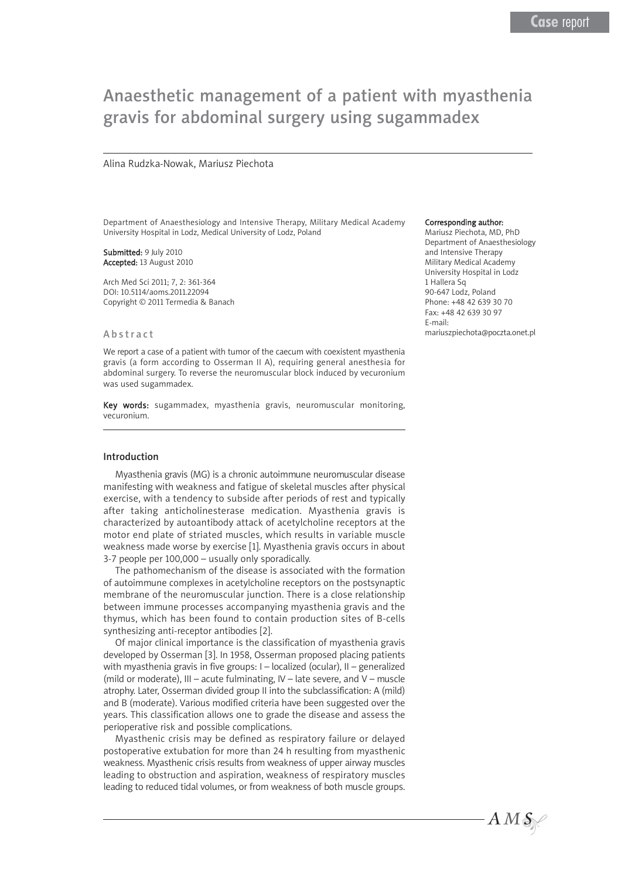# Anaesthetic management of a patient with myasthenia gravis for abdominal surgery using sugammadex

#### Alina Rudzka-Nowak, Mariusz Piechota

Department of Anaesthesiology and Intensive Therapy, Military Medical Academy University Hospital in Lodz, Medical University of Lodz, Poland

Submitted: 9 July 2010 Accepted: 13 August 2010

Arch Med Sci 2011; 7, 2: 361-364 DOI: 10.5114/aoms.2011.22094 Copyright © 2011 Termedia & Banach

### Abstract

We report a case of a patient with tumor of the caecum with coexistent myasthenia gravis (a form according to Osserman II A), requiring general anesthesia for abdominal surgery. To reverse the neuromuscular block induced by vecuronium was used sugammadex.

Key words: sugammadex, myasthenia gravis, neuromuscular monitoring, vecuronium.

#### Introduction

Myasthenia gravis (MG) is a chronic autoimmune neuromuscular disease manifesting with weakness and fatigue of skeletal muscles after physical exercise, with a tendency to subside after periods of rest and typically after taking anticholinesterase medication. Myasthenia gravis is characterized by autoantibody attack of acetylcholine receptors at the motor end plate of striated muscles, which results in variable muscle weakness made worse by exercise [1]. Myasthenia gravis occurs in about 3-7 people per 100,000 – usually only sporadically.

The pathomechanism of the disease is associated with the formation of autoimmune complexes in acetylcholine receptors on the postsynaptic membrane of the neuromuscular junction. There is a close relationship between immune processes accompanying myasthenia gravis and the thymus, which has been found to contain production sites of B-cells synthesizing anti-receptor antibodies [2].

Of major clinical importance is the classification of myasthenia gravis developed by Osserman [3]. In 1958, Osserman proposed placing patients with myasthenia gravis in five groups: I – localized (ocular), II – generalized (mild or moderate), III – acute fulminating, IV – late severe, and V – muscle atrophy. Later, Osserman divided group II into the subclassification: A (mild) and B (moderate). Various modified criteria have been suggested over the years. This classification allows one to grade the disease and assess the perioperative risk and possible complications.

Myasthenic crisis may be defined as respiratory failure or delayed postoperative extubation for more than 24 h resulting from myasthenic weakness. Myasthenic crisis results from weakness of upper airway muscles leading to obstruction and aspiration, weakness of respiratory muscles leading to reduced tidal volumes, or from weakness of both muscle groups.

#### Corresponding author:

Mariusz Piechota, MD, PhD Department of Anaesthesiology and Intensive Therapy Military Medical Academy University Hospital in Lodz 1 Hallera Sq 90-647 Lodz, Poland Phone: +48 42 639 30 70 Fax: +48 42 639 30 97 E-mail: mariuszpiechota@poczta.onet.pl

 $AMS$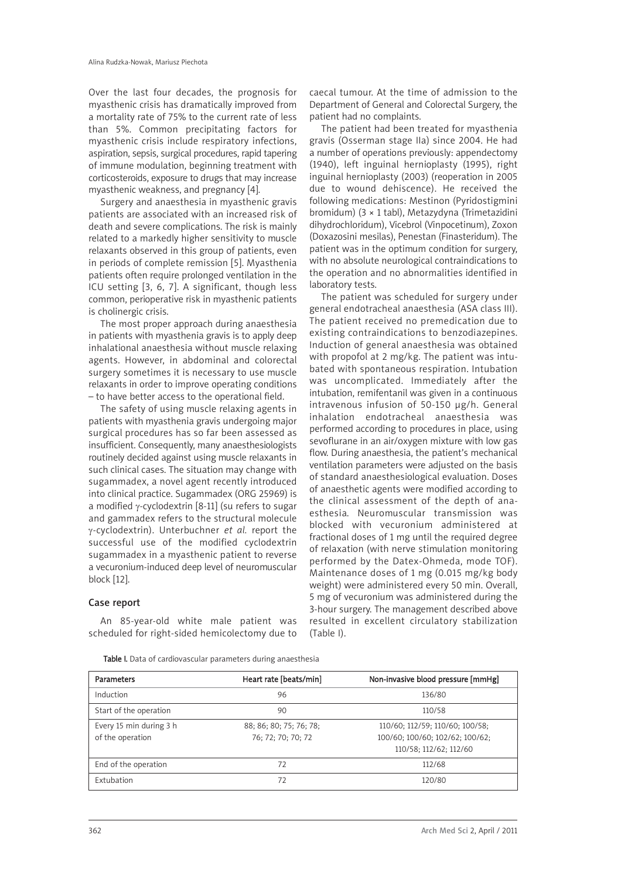Over the last four decades, the prognosis for myasthenic crisis has dramatically improved from a mortality rate of 75% to the current rate of less than 5%. Common precipitating factors for myasthenic crisis include respiratory infections, aspiration, sepsis, surgical procedures, rapid tapering of immune modulation, beginning treatment with corticosteroids, exposure to drugs that may increase myasthenic weakness, and pregnancy [4].

Surgery and anaesthesia in myasthenic gravis patients are associated with an increased risk of death and severe complications. The risk is mainly related to a markedly higher sensitivity to muscle relaxants observed in this group of patients, even in periods of complete remission [5]. Myasthenia patients often require prolonged ventilation in the ICU setting [3, 6, 7]. A significant, though less common, perioperative risk in myasthenic patients is cholinergic crisis.

The most proper approach during anaesthesia in patients with myasthenia gravis is to apply deep inhalational anaesthesia without muscle relaxing agents. However, in abdominal and colorectal surgery sometimes it is necessary to use muscle relaxants in order to improve operating conditions – to have better access to the operational field.

The safety of using muscle relaxing agents in patients with myasthenia gravis undergoing major surgical procedures has so far been assessed as insufficient. Consequently, many anaesthesiologists routinely decided against using muscle relaxants in such clinical cases. The situation may change with sugammadex, a novel agent recently introduced into clinical practice. Sugammadex (ORG 25969) is a modified γ-cyclodextrin [8-11] (su refers to sugar and gammadex refers to the structural molecule γ-cyclodextrin). Unterbuchner *et al.* report the successful use of the modified cyclodextrin sugammadex in a myasthenic patient to reverse a vecuronium-induced deep level of neuromuscular block [12].

# Case report

An 85-year-old white male patient was scheduled for right-sided hemicolectomy due to

caecal tumour. At the time of admission to the Department of General and Colorectal Surgery, the patient had no complaints.

The patient had been treated for myasthenia gravis (Osserman stage IIa) since 2004. He had a number of operations previously: appendectomy (1940), left inguinal hernioplasty (1995), right inguinal hernioplasty (2003) (reoperation in 2005 due to wound dehiscence). He received the following medications: Mestinon (Pyridostigmini bromidum) (3 × 1 tabl), Metazydyna (Trimetazidini dihydrochloridum), Vicebrol (Vinpocetinum), Zoxon (Doxazosini mesilas), Penestan (Finasteridum). The patient was in the optimum condition for surgery, with no absolute neurological contraindications to the operation and no abnormalities identified in laboratory tests.

The patient was scheduled for surgery under general endotracheal anaesthesia (ASA class III). The patient received no premedication due to existing contraindications to benzodiazepines. Induction of general anaesthesia was obtained with propofol at 2 mg/kg. The patient was intubated with spontaneous respiration. Intubation was uncomplicated. Immediately after the intubation, remifentanil was given in a continuous intravenous infusion of 50-150 μg/h. General inhalation endotracheal anaesthesia was performed according to procedures in place, using sevoflurane in an air/oxygen mixture with low gas flow. During anaesthesia, the patient's mechanical ventilation parameters were adjusted on the basis of standard anaesthesiological evaluation. Doses of anaesthetic agents were modified according to the clinical assessment of the depth of anaesthesia. Neuromuscular transmission was blocked with vecuronium administered at fractional doses of 1 mg until the required degree of relaxation (with nerve stimulation monitoring performed by the Datex-Ohmeda, mode TOF). Maintenance doses of 1 mg (0.015 mg/kg body weight) were administered every 50 min. Overall, 5 mg of vecuronium was administered during the 3-hour surgery. The management described above resulted in excellent circulatory stabilization (Table I).

Table I. Data of cardiovascular parameters during anaesthesia

| Parameters              | Heart rate [beats/min]  | Non-invasive blood pressure [mmHg] |
|-------------------------|-------------------------|------------------------------------|
| Induction               | 96                      | 136/80                             |
| Start of the operation  | 90                      | 110/58                             |
| Every 15 min during 3 h | 88; 86; 80; 75; 76; 78; | 110/60; 112/59; 110/60; 100/58;    |
| of the operation        | 76; 72; 70; 70; 72      | 100/60; 100/60; 102/62; 100/62;    |
|                         |                         | 110/58; 112/62; 112/60             |
| End of the operation    | 72                      | 112/68                             |
| Extubation              | 72                      | 120/80                             |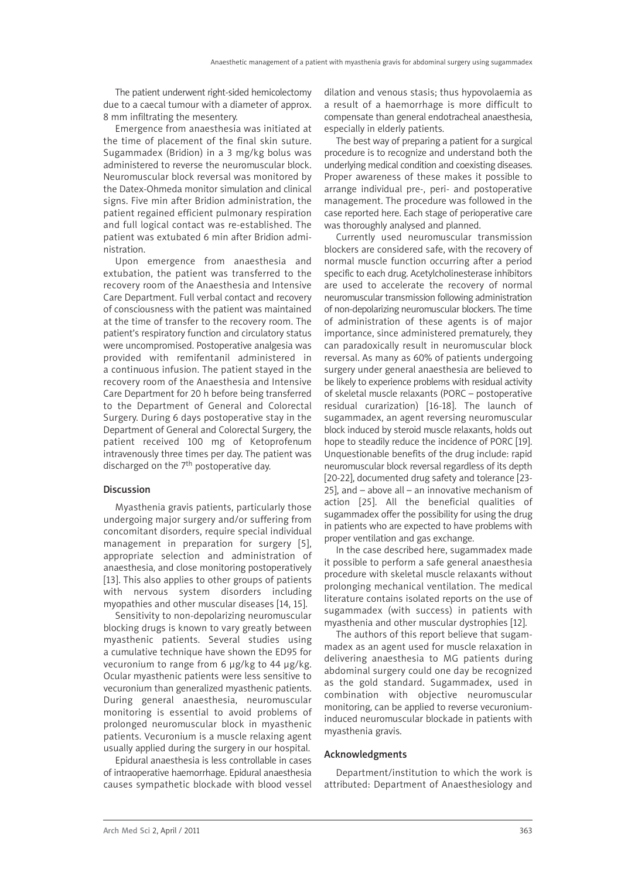The patient underwent right-sided hemicolectomy due to a caecal tumour with a diameter of approx. 8 mm infiltrating the mesentery.

Emergence from anaesthesia was initiated at the time of placement of the final skin suture. Sugammadex (Bridion) in a 3 mg/kg bolus was administered to reverse the neuromuscular block. Neuromuscular block reversal was monitored by the Datex-Ohmeda monitor simulation and clinical signs. Five min after Bridion administration, the patient regained efficient pulmonary respiration and full logical contact was re-established. The patient was extubated 6 min after Bridion administration.

Upon emergence from anaesthesia and extubation, the patient was transferred to the recovery room of the Anaesthesia and Intensive Care Department. Full verbal contact and recovery of consciousness with the patient was maintained at the time of transfer to the recovery room. The patient's respiratory function and circulatory status were uncompromised. Postoperative analgesia was provided with remifentanil administered in a continuous infusion. The patient stayed in the recovery room of the Anaesthesia and Intensive Care Department for 20 h before being transferred to the Department of General and Colorectal Surgery. During 6 days postoperative stay in the Department of General and Colorectal Surgery, the patient received 100 mg of Ketoprofenum intravenously three times per day. The patient was discharged on the 7<sup>th</sup> postoperative day.

# Discussion

Myasthenia gravis patients, particularly those undergoing major surgery and/or suffering from concomitant disorders, require special individual management in preparation for surgery [5], appropriate selection and administration of anaesthesia, and close monitoring postoperatively [13]. This also applies to other groups of patients with nervous system disorders including myopathies and other muscular diseases [14, 15].

Sensitivity to non-depolarizing neuromuscular blocking drugs is known to vary greatly between myasthenic patients. Several studies using a cumulative technique have shown the ED95 for vecuronium to range from 6 μg/kg to 44 μg/kg. Ocular myasthenic patients were less sensitive to vecuronium than generalized myasthenic patients. During general anaesthesia, neuromuscular monitoring is essential to avoid problems of prolonged neuromuscular block in myasthenic patients. Vecuronium is a muscle relaxing agent usually applied during the surgery in our hospital.

Epidural anaesthesia is less controllable in cases of intraoperative haemorrhage. Epidural anaesthesia causes sympathetic blockade with blood vessel dilation and venous stasis; thus hypovolaemia as a result of a haemorrhage is more difficult to compensate than general endotracheal anaesthesia, especially in elderly patients.

The best way of preparing a patient for a surgical procedure is to recognize and understand both the underlying medical condition and coexisting diseases. Proper awareness of these makes it possible to arrange individual pre-, peri- and postoperative management. The procedure was followed in the case reported here. Each stage of perioperative care was thoroughly analysed and planned.

Currently used neuromuscular transmission blockers are considered safe, with the recovery of normal muscle function occurring after a period specific to each drug. Acetylcholinesterase inhibitors are used to accelerate the recovery of normal neuromuscular transmission following administration of non-depolarizing neuromuscular blockers. The time of administration of these agents is of major importance, since administered prematurely, they can paradoxically result in neuromuscular block reversal. As many as 60% of patients undergoing surgery under general anaesthesia are believed to be likely to experience problems with residual activity of skeletal muscle relaxants (PORC – postoperative residual curarization) [16-18]. The launch of sugammadex, an agent reversing neuromuscular block induced by steroid muscle relaxants, holds out hope to steadily reduce the incidence of PORC [19]. Unquestionable benefits of the drug include: rapid neuromuscular block reversal regardless of its depth [20-22], documented drug safety and tolerance [23- 25], and – above all – an innovative mechanism of action [25]. All the beneficial qualities of sugammadex offer the possibility for using the drug in patients who are expected to have problems with proper ventilation and gas exchange.

In the case described here, sugammadex made it possible to perform a safe general anaesthesia procedure with skeletal muscle relaxants without prolonging mechanical ventilation. The medical literature contains isolated reports on the use of sugammadex (with success) in patients with myasthenia and other muscular dystrophies [12].

The authors of this report believe that sugammadex as an agent used for muscle relaxation in delivering anaesthesia to MG patients during abdominal surgery could one day be recognized as the gold standard. Sugammadex, used in combination with objective neuromuscular monitoring, can be applied to reverse vecuroniuminduced neuromuscular blockade in patients with myasthenia gravis.

## Acknowledgments

Department/institution to which the work is attributed: Department of Anaesthesiology and